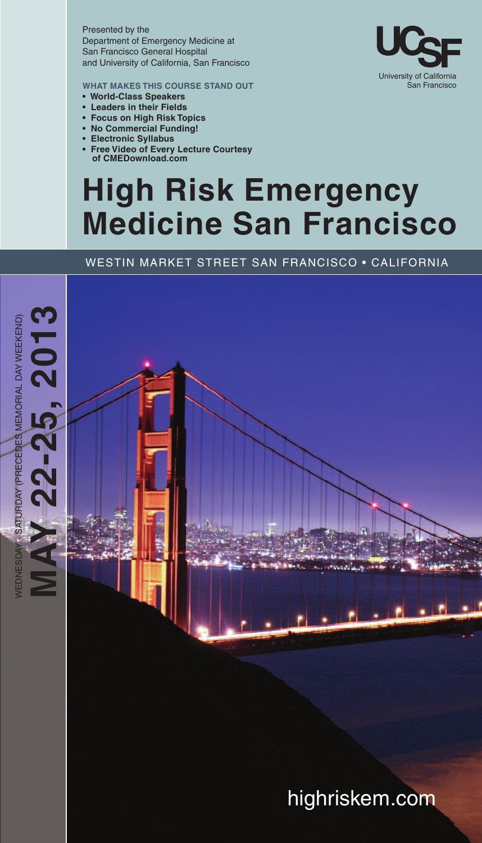Presented by the Department of Emergency Medicine at San Francisco General Hospital and University of California, San Francisco

**WHAT MAKES THIS COURSE STAND OUT**

- **• World-Class Speakers**
- **• Leaders in their Fields**
- **• Focus on High Risk Topics**
- **• No Commercial Funding!**
- **• Electronic Syllabus**
- **• Free Video of Every Lecture Courtesy of CMEDownload.com**

## **High Risk Emergency Medicine San Francisco**

#### WESTIN MARKET STREET SAN FRANCISCO • CALIFORNIA

**,**



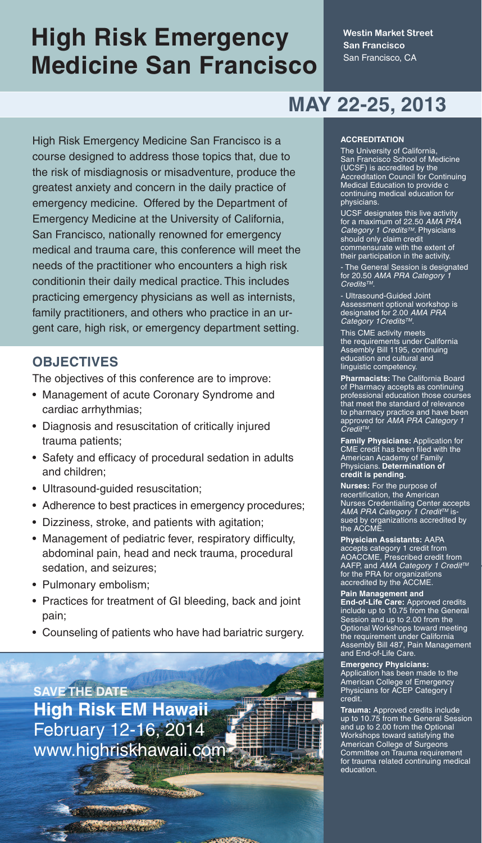## **High Risk Emergency Medicine San Francisco**

**Westin Market Street San Francisco** San Francisco, CA

### **MAY 22-25, 2013**

High Risk Emergency Medicine San Francisco is a course designed to address those topics that, due to the risk of misdiagnosis or misadventure, produce the greatest anxiety and concern in the daily practice of emergency medicine. Offered by the Department of Emergency Medicine at the University of California, San Francisco, nationally renowned for emergency medical and trauma care, this conference will meet the needs of the practitioner who encounters a high risk conditionin their daily medical practice. This includes practicing emergency physicians as well as internists, family practitioners, and others who practice in an urgent care, high risk, or emergency department setting.

### **OBJECTIVES**

The objectives of this conference are to improve:

- Management of acute Coronary Syndrome and cardiac arrhythmias;
- Diagnosis and resuscitation of critically injured trauma patients;
- Safety and efficacy of procedural sedation in adults and children;
- Ultrasound-guided resuscitation;
- Adherence to best practices in emergency procedures;
- Dizziness, stroke, and patients with agitation;
- Management of pediatric fever, respiratory difficulty, abdominal pain, head and neck trauma, procedural sedation, and seizures;
- Pulmonary embolism;
- Practices for treatment of GI bleeding, back and joint pain;
- Counseling of patients who have had bariatric surgery.

**SAVE THE DATE High Risk EM Hawaii** February 12-16, 2014 www.highriskhawaii.com

ndan di Santa yenev

#### **ACCREDITATION**

The University of California, San Francisco School of Medicine (UCSF) is accredited by the Accreditation Council for Continuing Medical Education to provide c continuing medical education for physicians.

UCSF designates this live activity for a maximum of 22.50 *AMA PRA Category 1 CreditsTM*. Physicians should only claim credit commensurate with the extent of their participation in the activity.

- The General Session is designated for 20.50 *AMA PRA Category 1 CreditsTM*.

- Ultrasound-Guided Joint Assessment optional workshop is designated for 2.00 *AMA PRA Category 1CreditsTM*.

This CME activity meets the requirements under California Assembly Bill 1195, continuing education and cultural and linguistic competency.

**Pharmacists:** The California Board of Pharmacy accepts as continuing professional education those courses that meet the standard of relevance to pharmacy practice and have been approved for *AMA PRA Category 1 CreditTM*.

**Family Physicians:** Application for CME credit has been filed with the American Academy of Family Physicians. **Determination of credit is pending.**

**Nurses:** For the purpose of recertification, the American Nurses Credentialing Center accepts *AMA PRA Category 1 Credit™* is-<br>sued by organizations accredited by<br>the ACCME.

**Physician Assistants:** AAPA accepts category 1 credit from AOACCME, Prescribed credit from AAFP, and *AMA Category 1 CreditTM* for the PRA for organizations accredited by the ACCME.

**Pain Management and**

End-of-Life Care: Approved credits<br>include up to 10.75 from the General<br>Session and up to 2.00 from the<br>Optional Workshops toward meeting<br>the requirement under California<br>Assembly Bill 487, Pain Management<br>and End-of-Life

**Emergency Physicians:** Application has been made to the American College of Emergency Physicians for ACEP Category I credit.

**Trauma:** Approved credits include up to 10.75 from the General Session and up to 2.00 from the Optional Workshops toward satisfying the American College of Surgeons Committee on Trauma requirement for trauma related continuing medical education.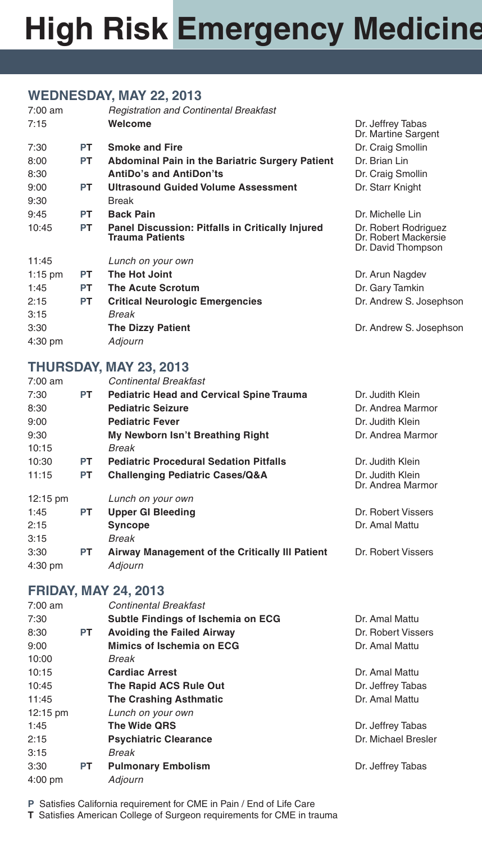# **High Risk Emergency Medicine**

#### **WEDNESDAY, MAY 22, 2013**

| $7:00 \text{ am}$ |           | <b>Registration and Continental Breakfast</b>                                     |                                                                    |
|-------------------|-----------|-----------------------------------------------------------------------------------|--------------------------------------------------------------------|
| 7:15              |           | Welcome                                                                           | Dr. Jeffrey Tabas<br>Dr. Martine Sargent                           |
| 7:30              | <b>PT</b> | <b>Smoke and Fire</b>                                                             | Dr. Craig Smollin                                                  |
| 8:00              | <b>PT</b> | <b>Abdominal Pain in the Bariatric Surgery Patient</b>                            | Dr. Brian Lin                                                      |
| 8:30              |           | <b>AntiDo's and AntiDon'ts</b>                                                    | Dr. Craig Smollin                                                  |
| 9:00              | <b>PT</b> | <b>Ultrasound Guided Volume Assessment</b>                                        | Dr. Starr Knight                                                   |
| 9:30              |           | <b>Break</b>                                                                      |                                                                    |
| 9:45              | <b>PT</b> | <b>Back Pain</b>                                                                  | Dr. Michelle Lin                                                   |
| 10:45             | PT.       | <b>Panel Discussion: Pitfalls in Critically Injured</b><br><b>Trauma Patients</b> | Dr. Robert Rodriguez<br>Dr. Robert Mackersie<br>Dr. David Thompson |
| 11:45             |           | Lunch on your own                                                                 |                                                                    |
| $1:15$ pm         | <b>PT</b> | The Hot Joint                                                                     | Dr. Arun Nagdev                                                    |
| 1:45              | <b>PT</b> | <b>The Acute Scrotum</b>                                                          | Dr. Gary Tamkin                                                    |
| 2:15              | <b>PT</b> | <b>Critical Neurologic Emergencies</b>                                            | Dr. Andrew S. Josephson                                            |
| 3:15              |           | Break                                                                             |                                                                    |
| 3:30              |           | <b>The Dizzy Patient</b>                                                          | Dr. Andrew S. Josephson                                            |
| $4:30$ pm         |           | Adjourn                                                                           |                                                                    |
|                   |           |                                                                                   |                                                                    |

#### **THURSDAY, MAY 23, 2013**

| $7:00$ am          |           | <b>Continental Breakfast</b>                    |                                       |
|--------------------|-----------|-------------------------------------------------|---------------------------------------|
| 7:30               | <b>PT</b> | <b>Pediatric Head and Cervical Spine Trauma</b> | Dr. Judith Klein                      |
| 8:30               |           | <b>Pediatric Seizure</b>                        | Dr. Andrea Marmor                     |
| 9:00               |           | <b>Pediatric Fever</b>                          | Dr. Judith Klein                      |
| 9:30               |           | My Newborn Isn't Breathing Right                | Dr. Andrea Marmor                     |
| 10:15              |           | Break                                           |                                       |
| 10:30              | <b>PT</b> | <b>Pediatric Procedural Sedation Pitfalls</b>   | Dr. Judith Klein                      |
| 11:15              | <b>PT</b> | <b>Challenging Pediatric Cases/Q&amp;A</b>      | Dr. Judith Klein<br>Dr. Andrea Marmor |
| $12:15 \text{ pm}$ |           | Lunch on your own                               |                                       |
| 1:45               | <b>PT</b> | <b>Upper GI Bleeding</b>                        | Dr. Robert Vissers                    |
| 2:15               |           | <b>Syncope</b>                                  | Dr. Amal Mattu                        |
| 3:15               |           | <b>Break</b>                                    |                                       |
| 3:30               | <b>PT</b> | Airway Management of the Critically III Patient | Dr. Robert Vissers                    |
| $4:30$ pm          |           | Adjourn                                         |                                       |

#### **FRIDAY, MAY 24, 2013**

| $7:00$ am          |           | <b>Continental Breakfast</b>       |                     |
|--------------------|-----------|------------------------------------|---------------------|
| 7:30               |           | Subtle Findings of Ischemia on ECG | Dr. Amal Mattu      |
| 8:30               | <b>PT</b> | <b>Avoiding the Failed Airway</b>  | Dr. Robert Vissers  |
| 9:00               |           | Mimics of Ischemia on ECG          | Dr. Amal Mattu      |
| 10:00              |           | <b>Break</b>                       |                     |
| 10:15              |           | <b>Cardiac Arrest</b>              | Dr. Amal Mattu      |
| 10:45              |           | The Rapid ACS Rule Out             | Dr. Jeffrey Tabas   |
| 11:45              |           | <b>The Crashing Asthmatic</b>      | Dr. Amal Mattu      |
| $12:15 \text{ pm}$ |           | Lunch on your own                  |                     |
| 1:45               |           | The Wide QRS                       | Dr. Jeffrey Tabas   |
| 2:15               |           | <b>Psychiatric Clearance</b>       | Dr. Michael Bresler |
| 3:15               |           | <b>Break</b>                       |                     |
| 3:30               | <b>PT</b> | <b>Pulmonary Embolism</b>          | Dr. Jeffrey Tabas   |
| 4:00 pm            |           | Adjourn                            |                     |

**P** Satisfies California requirement for CME in Pain / End of Life Care

**T** Satisfies American College of Surgeon requirements for CME in trauma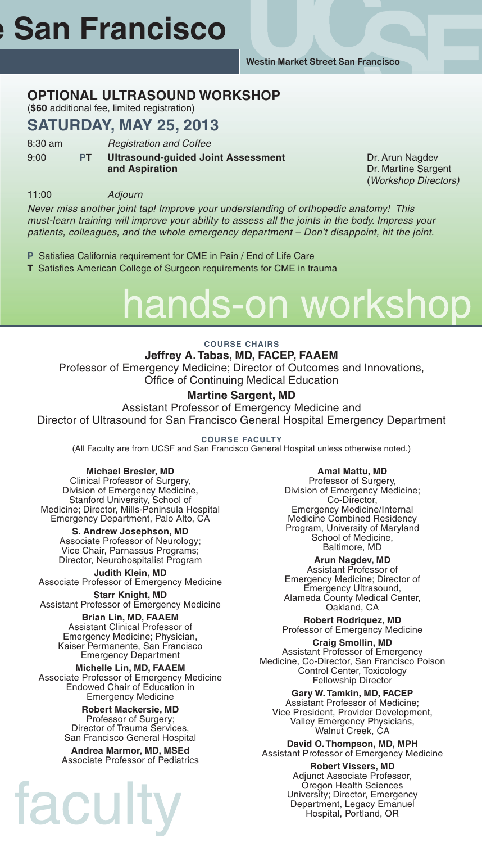**Westin Market Street San Francisco**

### **OPTIONAL ULTRASOUND WORKSHOP**

(**\$60** additional fee, limited registration)

#### **SATURDAY, MAY 25, 2013**

8:30 am *Registration and Coffee* 9:00 **PT Ultrasound-guided Joint Assessment** Dr. Arun Nagdev **and Aspiration** Dr. Martine Sargent

(*Workshop Directors)*

11:00 *Adjourn*

*Never miss another joint tap! Improve your understanding of orthopedic anatomy! This must-learn training will improve your ability to assess all the joints in the body. Impress your patients, colleagues, and the whole emergency department – Don't disappoint, hit the joint.*

- **P** Satisfies California requirement for CME in Pain / End of Life Care
- **T** Satisfies American College of Surgeon requirements for CME in trauma

# s-on workshop

#### **COURSE CHAIRS**

**Jeffrey A.Tabas, MD, FACEP, FAAEM** Professor of Emergency Medicine; Director of Outcomes and Innovations, Office of Continuing Medical Education

#### **Martine Sargent, MD**

Assistant Professor of Emergency Medicine and Director of Ultrasound for San Francisco General Hospital Emergency Department

**COURSE FACULTY**

(All Faculty are from UCSF and San Francisco General Hospital unless otherwise noted.)

#### **Michael Bresler, MD**

Clinical Professor of Surgery, Division of Emergency Medicine, Stanford University, School of Medicine; Director, Mills-Peninsula Hospital Emergency Department, Palo Alto, CA

**S. Andrew Josephson, MD** Associate Professor of Neurology; Vice Chair, Parnassus Programs; Director, Neurohospitalist Program

**Judith Klein, MD** Associate Professor of Emergency Medicine

**Starr Knight, MD** Assistant Professor of Emergency Medicine

**Brian Lin, MD, FAAEM** Assistant Clinical Professor of Emergency Medicine; Physician, Kaiser Permanente, San Francisco Emergency Department

**Michelle Lin, MD, FAAEM** Associate Professor of Emergency Medicine Endowed Chair of Education in Emergency Medicine

> **Robert Mackersie, MD** Professor of Surgery; Director of Trauma Services, San Francisco General Hospital

**Andrea Marmor, MD, MSEd** Associate Professor of Pediatrics

tacu

**Amal Mattu, MD** Professor of Surgery, Division of Emergency Medicine; Co-Director, Emergency Medicine/Internal Medicine Combined Residency Program, University of Maryland School of Medicine, Baltimore, MD

**Arun Nagdev, MD** Assistant Professor of Emergency Medicine; Director of Emergency Ultrasound, Alameda County Medical Center, Oakland, CA

**Robert Rodriquez, MD** Professor of Emergency Medicine

**Craig Smollin, MD** Assistant Professor of Emergency Medicine, Co-Director, San Francisco Poison Control Center, Toxicology Fellowship Director

**Gary W. Tamkin, MD, FACEP** Assistant Professor of Medicine; Vice President, Provider Development, Valley Emergency Physicians, Walnut Creek, CA

**David O. Thompson, MD, MPH** Assistant Professor of Emergency Medicine

**Robert Vissers, MD** Adjunct Associate Professor, Oregon Health Sciences University; Director, Emergency Department, Legacy Emanuel Hospital, Portland, OR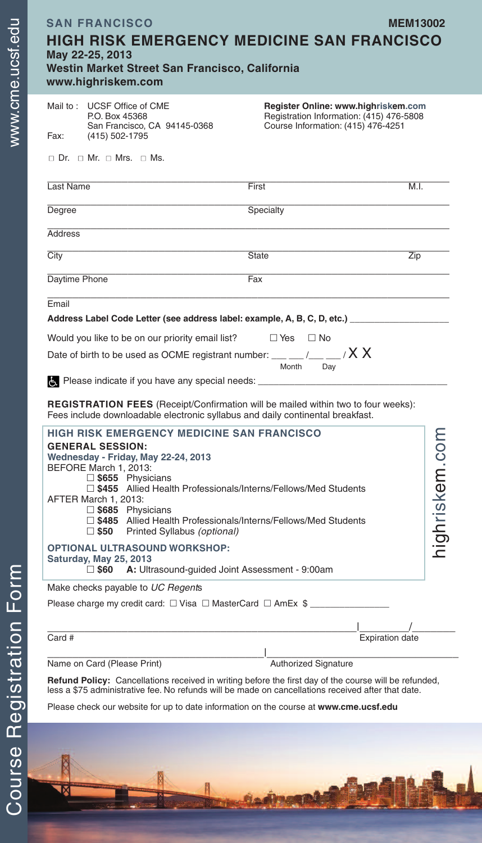| <b>SAN FRANCISCO</b><br><b>HIGH RISK EMERGENCY MEDICINE SAN FRANCISCO</b><br>May 22-25, 2013<br>Westin Market Street San Francisco, California<br>www.highriskem.com                                                                                                                                                                                                                      |                                                                                                                       | <b>MEM13002</b>   |
|-------------------------------------------------------------------------------------------------------------------------------------------------------------------------------------------------------------------------------------------------------------------------------------------------------------------------------------------------------------------------------------------|-----------------------------------------------------------------------------------------------------------------------|-------------------|
| Mail to: UCSF Office of CME<br>P.O. Box 45368<br>San Francisco, CA 94145-0368<br>Fax:<br>(415) 502-1795<br>$\Box$ Dr. $\Box$ Mr. $\Box$ Mrs. $\Box$ Ms.                                                                                                                                                                                                                                   | Register Online: www.highriskem.com<br>Registration Information: (415) 476-5808<br>Course Information: (415) 476-4251 |                   |
| Last Name                                                                                                                                                                                                                                                                                                                                                                                 | First                                                                                                                 | M.I.              |
| Degree                                                                                                                                                                                                                                                                                                                                                                                    | Specialty                                                                                                             |                   |
| <b>Address</b>                                                                                                                                                                                                                                                                                                                                                                            |                                                                                                                       |                   |
| City                                                                                                                                                                                                                                                                                                                                                                                      | <b>State</b>                                                                                                          | Zip               |
| Daytime Phone                                                                                                                                                                                                                                                                                                                                                                             | Fax                                                                                                                   |                   |
| Date of birth to be used as OCME registrant number: $\_\_\_\_\_\_\_\_\_\_\_\_\_\_$<br>Please indicate if you have any special needs: _________________<br><b>REGISTRATION FEES</b> (Receipt/Confirmation will be mailed within two to four weeks):<br>Fees include downloadable electronic syllabus and daily continental breakfast.<br><b>HIGH RISK EMERGENCY MEDICINE SAN FRANCISCO</b> | Month<br>Day                                                                                                          |                   |
| <b>GENERAL SESSION:</b><br>Wednesday - Friday, May 22-24, 2013<br>BEFORE March 1, 2013:<br>$\square$ \$655 Physicians<br>□ \$455 Allied Health Professionals/Interns/Fellows/Med Students<br>AFTER March 1, 2013:<br>$\Box$ \$685 Physicians<br>□ \$485 Allied Health Professionals/Interns/Fellows/Med Students<br>$\square$ \$50<br>Printed Syllabus (optional)                         |                                                                                                                       | skem.com<br>ighri |
| <b>OPTIONAL ULTRASOUND WORKSHOP:</b><br>Saturday, May 25, 2013<br>$\square$ \$60<br>A: Ultrasound-guided Joint Assessment - 9:00am                                                                                                                                                                                                                                                        |                                                                                                                       |                   |
| Make checks payable to UC Regents                                                                                                                                                                                                                                                                                                                                                         |                                                                                                                       |                   |
| Please charge my credit card: $\Box$ Visa $\Box$ MasterCard $\Box$ AmEx $\$\_$                                                                                                                                                                                                                                                                                                            |                                                                                                                       |                   |
| Card #                                                                                                                                                                                                                                                                                                                                                                                    | <b>Expiration date</b>                                                                                                |                   |
| Name on Card (Please Print)                                                                                                                                                                                                                                                                                                                                                               | Authorized Signature                                                                                                  |                   |
| Refund Policy: Cancellations received in writing before the first day of the course will be refunded,<br>less a \$75 administrative fee. No refunds will be made on cancellations received after that date.                                                                                                                                                                               |                                                                                                                       |                   |

Please check our website for up to date information on the course at **www.cme.ucsf.edu**

m